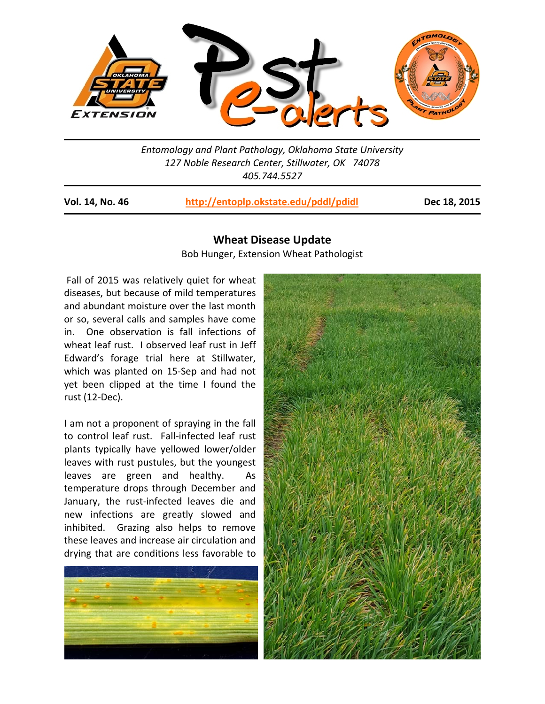

*Entomology and Plant Pathology, Oklahoma State University 127 Noble Research Center, Stillwater, OK 74078 405.744.5527* 

**Vol. 14, No. 46 http://entoplp.okstate.edu/pddl/pdidl Dec 18, 2015**

## **Wheat Disease Update**

Bob Hunger, Extension Wheat Pathologist

Fall of 2015 was relatively quiet for wheat diseases, but because of mild temperatures and abundant moisture over the last month or so, several calls and samples have come in. One observation is fall infections of wheat leaf rust. I observed leaf rust in Jeff Edward's forage trial here at Stillwater, which was planted on 15-Sep and had not yet been clipped at the time I found the rust (12‐Dec).

I am not a proponent of spraying in the fall to control leaf rust. Fall-infected leaf rust plants typically have yellowed lower/older leaves with rust pustules, but the youngest leaves are green and healthy. As temperature drops through December and January, the rust‐infected leaves die and new infections are greatly slowed and inhibited. Grazing also helps to remove these leaves and increase air circulation and drying that are conditions less favorable to



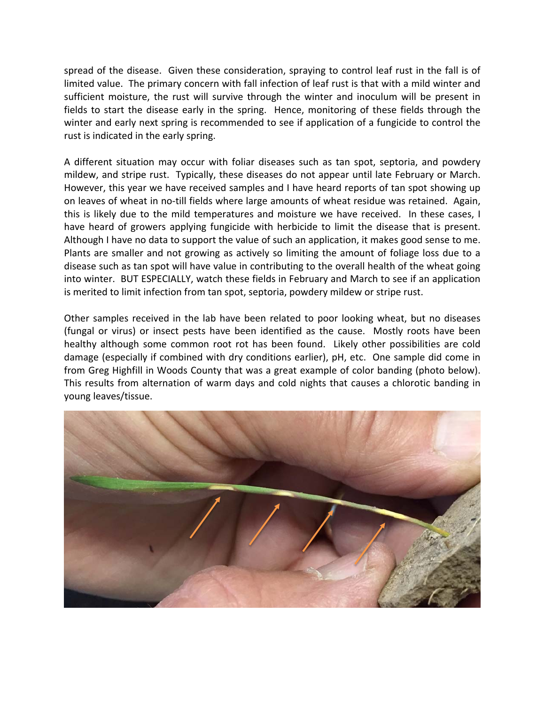spread of the disease. Given these consideration, spraying to control leaf rust in the fall is of limited value. The primary concern with fall infection of leaf rust is that with a mild winter and sufficient moisture, the rust will survive through the winter and inoculum will be present in fields to start the disease early in the spring. Hence, monitoring of these fields through the winter and early next spring is recommended to see if application of a fungicide to control the rust is indicated in the early spring.

A different situation may occur with foliar diseases such as tan spot, septoria, and powdery mildew, and stripe rust. Typically, these diseases do not appear until late February or March. However, this year we have received samples and I have heard reports of tan spot showing up on leaves of wheat in no‐till fields where large amounts of wheat residue was retained. Again, this is likely due to the mild temperatures and moisture we have received. In these cases, I have heard of growers applying fungicide with herbicide to limit the disease that is present. Although I have no data to support the value of such an application, it makes good sense to me. Plants are smaller and not growing as actively so limiting the amount of foliage loss due to a disease such as tan spot will have value in contributing to the overall health of the wheat going into winter. BUT ESPECIALLY, watch these fields in February and March to see if an application is merited to limit infection from tan spot, septoria, powdery mildew or stripe rust.

Other samples received in the lab have been related to poor looking wheat, but no diseases (fungal or virus) or insect pests have been identified as the cause. Mostly roots have been healthy although some common root rot has been found. Likely other possibilities are cold damage (especially if combined with dry conditions earlier), pH, etc. One sample did come in from Greg Highfill in Woods County that was a great example of color banding (photo below). This results from alternation of warm days and cold nights that causes a chlorotic banding in young leaves/tissue.